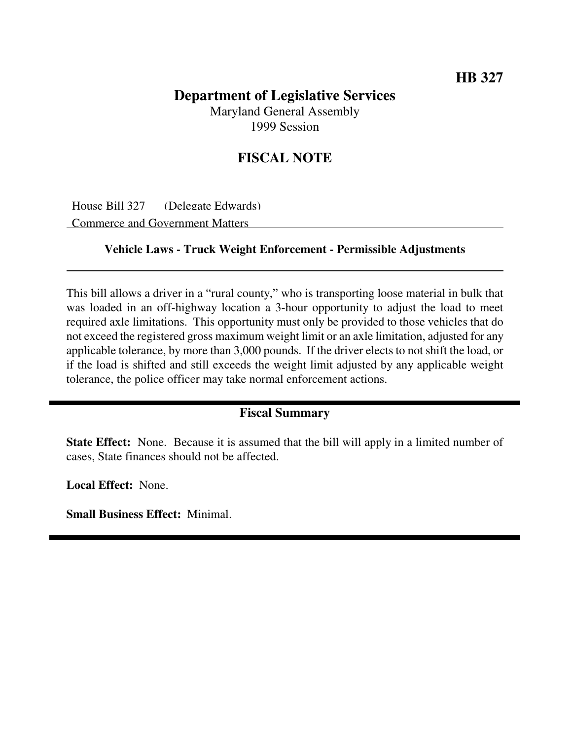## **Department of Legislative Services** Maryland General Assembly

1999 Session

## **FISCAL NOTE**

House Bill 327 (Delegate Edwards) Commerce and Government Matters

## **Vehicle Laws - Truck Weight Enforcement - Permissible Adjustments**

This bill allows a driver in a "rural county," who is transporting loose material in bulk that was loaded in an off-highway location a 3-hour opportunity to adjust the load to meet required axle limitations. This opportunity must only be provided to those vehicles that do not exceed the registered gross maximum weight limit or an axle limitation, adjusted for any applicable tolerance, by more than 3,000 pounds. If the driver elects to not shift the load, or if the load is shifted and still exceeds the weight limit adjusted by any applicable weight tolerance, the police officer may take normal enforcement actions.

## **Fiscal Summary**

**State Effect:** None. Because it is assumed that the bill will apply in a limited number of cases, State finances should not be affected.

**Local Effect:** None.

**Small Business Effect:** Minimal.